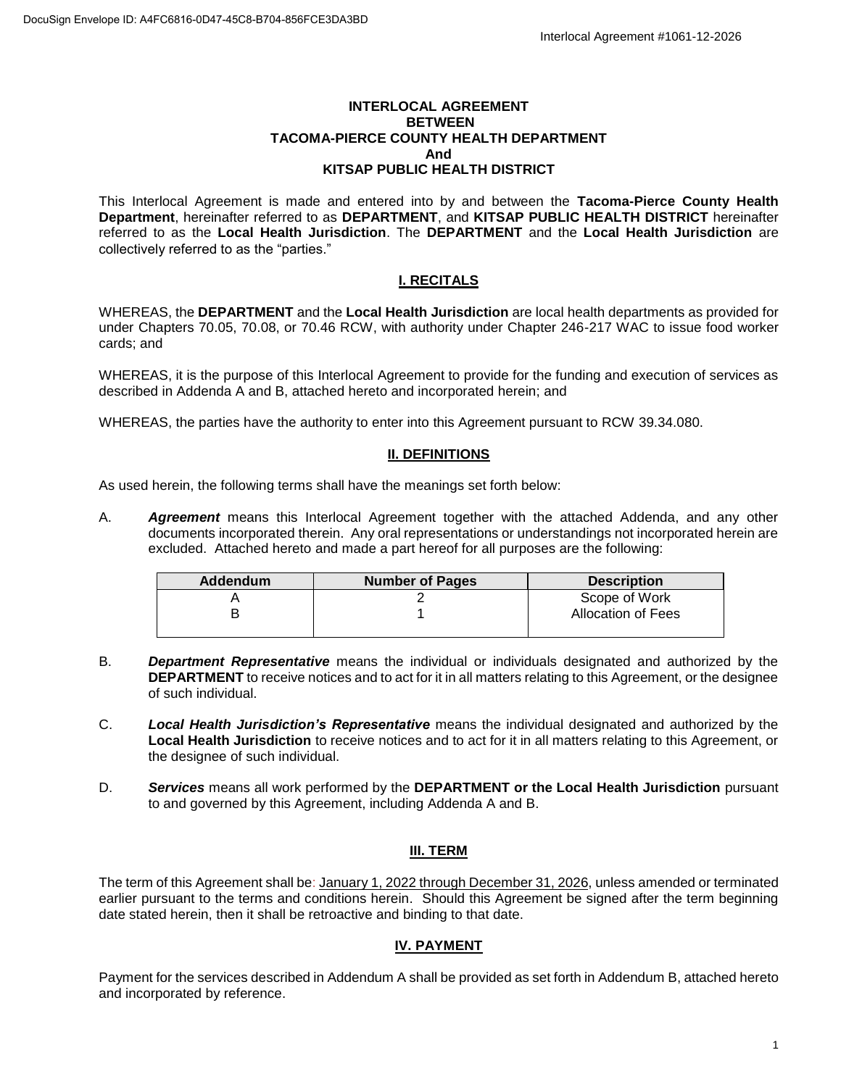#### **INTERLOCAL AGREEMENT BETWEEN TACOMA-PIERCE COUNTY HEALTH DEPARTMENT And KITSAP PUBLIC HEALTH DISTRICT**

This Interlocal Agreement is made and entered into by and between the **Tacoma-Pierce County Health Department**, hereinafter referred to as **DEPARTMENT**, and **KITSAP PUBLIC HEALTH DISTRICT** hereinafter referred to as the **Local Health Jurisdiction**. The **DEPARTMENT** and the **Local Health Jurisdiction** are collectively referred to as the "parties."

# **I. RECITALS**

WHEREAS, the **DEPARTMENT** and the **Local Health Jurisdiction** are local health departments as provided for under Chapters 70.05, 70.08, or 70.46 RCW, with authority under Chapter 246-217 WAC to issue food worker cards; and

WHEREAS, it is the purpose of this Interlocal Agreement to provide for the funding and execution of services as described in Addenda A and B, attached hereto and incorporated herein; and

WHEREAS, the parties have the authority to enter into this Agreement pursuant to RCW 39.34.080.

### **II. DEFINITIONS**

As used herein, the following terms shall have the meanings set forth below:

A. *Agreement* means this Interlocal Agreement together with the attached Addenda, and any other documents incorporated therein. Any oral representations or understandings not incorporated herein are excluded. Attached hereto and made a part hereof for all purposes are the following:

| Addendum | <b>Number of Pages</b> | <b>Description</b>        |
|----------|------------------------|---------------------------|
|          |                        | Scope of Work             |
|          |                        | <b>Allocation of Fees</b> |

- B. *Department Representative* means the individual or individuals designated and authorized by the **DEPARTMENT** to receive notices and to act for it in all matters relating to this Agreement, or the designee of such individual.
- C. *Local Health Jurisdiction's Representative* means the individual designated and authorized by the **Local Health Jurisdiction** to receive notices and to act for it in all matters relating to this Agreement, or the designee of such individual.
- D. *Services* means all work performed by the **DEPARTMENT or the Local Health Jurisdiction** pursuant to and governed by this Agreement, including Addenda A and B.

# **III. TERM**

The term of this Agreement shall be: January 1, 2022 through December 31, 2026, unless amended or terminated earlier pursuant to the terms and conditions herein. Should this Agreement be signed after the term beginning date stated herein, then it shall be retroactive and binding to that date.

# **IV. PAYMENT**

Payment for the services described in Addendum A shall be provided as set forth in Addendum B, attached hereto and incorporated by reference.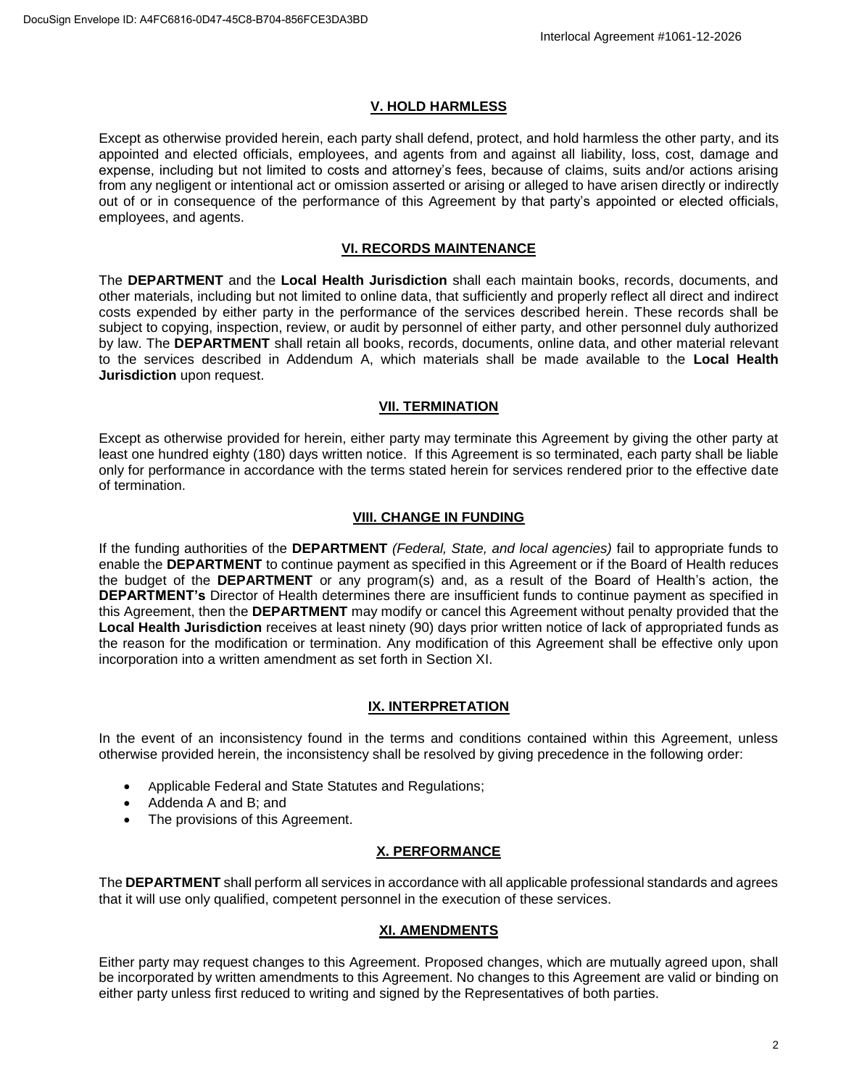# **V. HOLD HARMLESS**

Except as otherwise provided herein, each party shall defend, protect, and hold harmless the other party, and its appointed and elected officials, employees, and agents from and against all liability, loss, cost, damage and expense, including but not limited to costs and attorney's fees, because of claims, suits and/or actions arising from any negligent or intentional act or omission asserted or arising or alleged to have arisen directly or indirectly out of or in consequence of the performance of this Agreement by that party's appointed or elected officials, employees, and agents.

# **VI. RECORDS MAINTENANCE**

The **DEPARTMENT** and the **Local Health Jurisdiction** shall each maintain books, records, documents, and other materials, including but not limited to online data, that sufficiently and properly reflect all direct and indirect costs expended by either party in the performance of the services described herein. These records shall be subject to copying, inspection, review, or audit by personnel of either party, and other personnel duly authorized by law. The **DEPARTMENT** shall retain all books, records, documents, online data, and other material relevant to the services described in Addendum A, which materials shall be made available to the **Local Health Jurisdiction** upon request.

# **VII. TERMINATION**

Except as otherwise provided for herein, either party may terminate this Agreement by giving the other party at least one hundred eighty (180) days written notice. If this Agreement is so terminated, each party shall be liable only for performance in accordance with the terms stated herein for services rendered prior to the effective date of termination.

# **VIII. CHANGE IN FUNDING**

If the funding authorities of the **DEPARTMENT** *(Federal, State, and local agencies)* fail to appropriate funds to enable the **DEPARTMENT** to continue payment as specified in this Agreement or if the Board of Health reduces the budget of the **DEPARTMENT** or any program(s) and, as a result of the Board of Health's action, the **DEPARTMENT's** Director of Health determines there are insufficient funds to continue payment as specified in this Agreement, then the **DEPARTMENT** may modify or cancel this Agreement without penalty provided that the **Local Health Jurisdiction** receives at least ninety (90) days prior written notice of lack of appropriated funds as the reason for the modification or termination. Any modification of this Agreement shall be effective only upon incorporation into a written amendment as set forth in Section XI.

# **IX. INTERPRETATION**

In the event of an inconsistency found in the terms and conditions contained within this Agreement, unless otherwise provided herein, the inconsistency shall be resolved by giving precedence in the following order:

- Applicable Federal and State Statutes and Regulations;
- Addenda A and B; and
- The provisions of this Agreement.

# **X. PERFORMANCE**

The **DEPARTMENT** shall perform all services in accordance with all applicable professional standards and agrees that it will use only qualified, competent personnel in the execution of these services.

# **XI. AMENDMENTS**

Either party may request changes to this Agreement. Proposed changes, which are mutually agreed upon, shall be incorporated by written amendments to this Agreement. No changes to this Agreement are valid or binding on either party unless first reduced to writing and signed by the Representatives of both parties.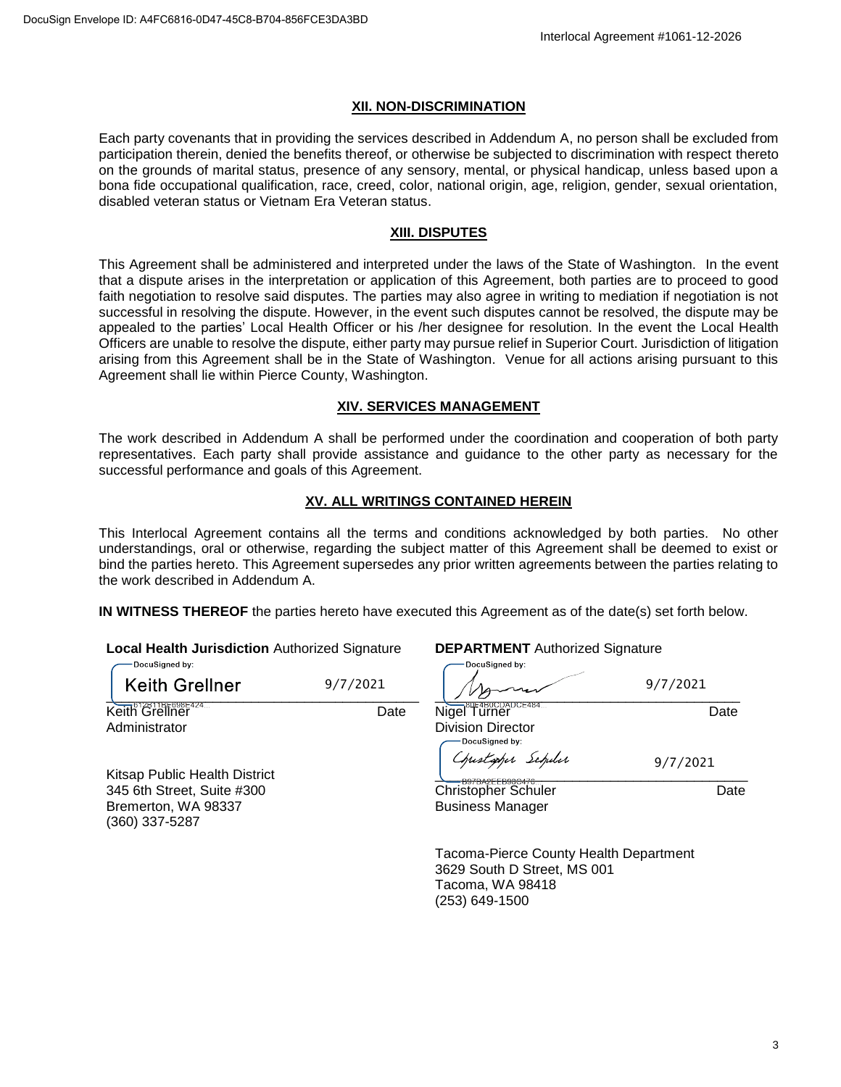#### **XII. NON-DISCRIMINATION**

Each party covenants that in providing the services described in Addendum A, no person shall be excluded from participation therein, denied the benefits thereof, or otherwise be subjected to discrimination with respect thereto on the grounds of marital status, presence of any sensory, mental, or physical handicap, unless based upon a bona fide occupational qualification, race, creed, color, national origin, age, religion, gender, sexual orientation, disabled veteran status or Vietnam Era Veteran status.

### **XIII. DISPUTES**

This Agreement shall be administered and interpreted under the laws of the State of Washington. In the event that a dispute arises in the interpretation or application of this Agreement, both parties are to proceed to good faith negotiation to resolve said disputes. The parties may also agree in writing to mediation if negotiation is not successful in resolving the dispute. However, in the event such disputes cannot be resolved, the dispute may be appealed to the parties' Local Health Officer or his /her designee for resolution. In the event the Local Health Officers are unable to resolve the dispute, either party may pursue relief in Superior Court. Jurisdiction of litigation arising from this Agreement shall be in the State of Washington. Venue for all actions arising pursuant to this Agreement shall lie within Pierce County, Washington.

# **XIV. SERVICES MANAGEMENT**

The work described in Addendum A shall be performed under the coordination and cooperation of both party representatives. Each party shall provide assistance and guidance to the other party as necessary for the successful performance and goals of this Agreement.

# **XV. ALL WRITINGS CONTAINED HEREIN**

This Interlocal Agreement contains all the terms and conditions acknowledged by both parties. No other understandings, oral or otherwise, regarding the subject matter of this Agreement shall be deemed to exist or bind the parties hereto. This Agreement supersedes any prior written agreements between the parties relating to the work described in Addendum A.

**IN WITNESS THEREOF** the parties hereto have executed this Agreement as of the date(s) set forth below.

**Local Health Jurisdiction** Authorized Signature

| -DocuSigned by: |  |
|-----------------|--|
|                 |  |

 $\overline{\phantom{a}}$ 

Kitsap Public Health District 345 6th Street, Suite #300 Bremerton, WA 98337 (360) 337-5287

<u>Keith</u> Grellner Date Administrator

 $\frac{1}{2}$ Nigel Turner Date

Division Director Christapher Schuler \_\_\_\_\_\_\_\_\_\_\_\_\_\_\_\_\_\_\_\_\_\_\_\_\_\_\_\_\_\_\_\_\_\_\_\_\_\_\_\_\_

9/7/2021 9/7/2021

DocuSigned by:

9/7/2021

Christopher Schuler **Date** Business Manager

Tacoma-Pierce County Health Department 3629 South D Street, MS 001 Tacoma, WA 98418 (253) 649-1500

**DEPARTMENT** Authorized Signature

3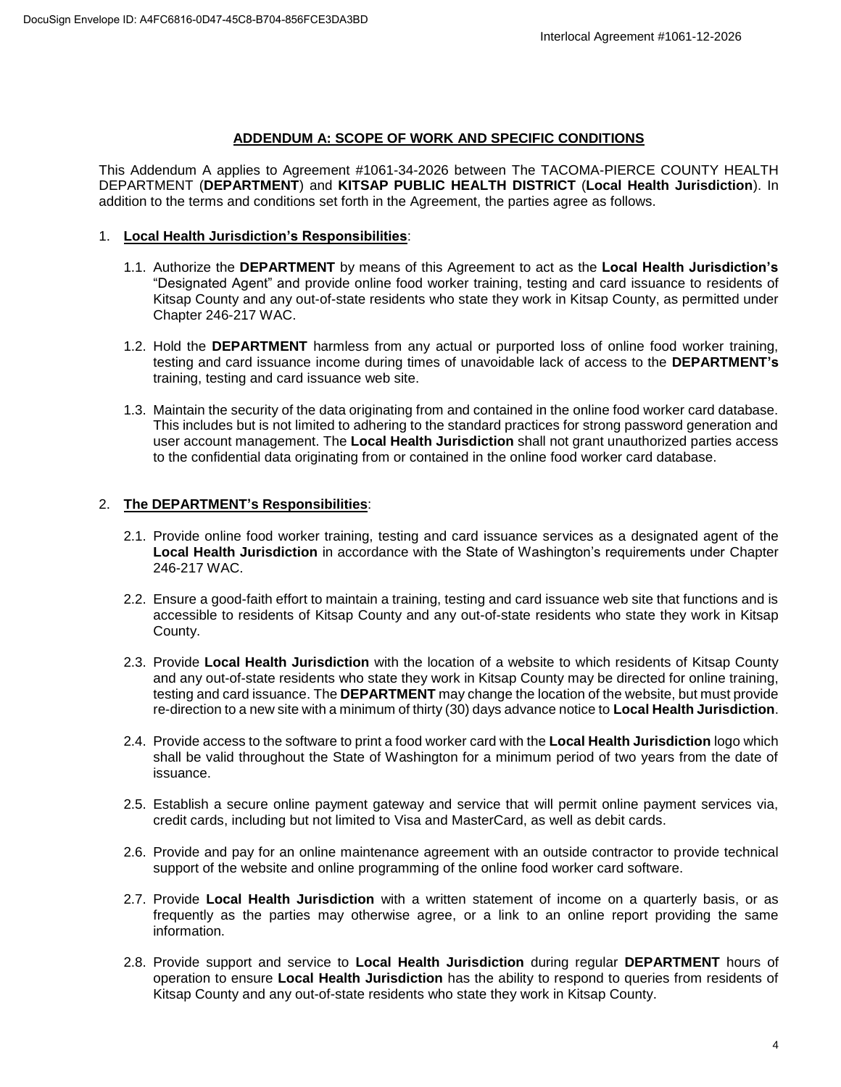#### **ADDENDUM A: SCOPE OF WORK AND SPECIFIC CONDITIONS**

This Addendum A applies to Agreement #1061-34-2026 between The TACOMA-PIERCE COUNTY HEALTH DEPARTMENT (**DEPARTMENT**) and **KITSAP PUBLIC HEALTH DISTRICT** (**Local Health Jurisdiction**). In addition to the terms and conditions set forth in the Agreement, the parties agree as follows.

#### 1. **Local Health Jurisdiction's Responsibilities**:

- 1.1. Authorize the **DEPARTMENT** by means of this Agreement to act as the **Local Health Jurisdiction's** "Designated Agent" and provide online food worker training, testing and card issuance to residents of Kitsap County and any out-of-state residents who state they work in Kitsap County, as permitted under Chapter 246-217 WAC.
- 1.2. Hold the **DEPARTMENT** harmless from any actual or purported loss of online food worker training, testing and card issuance income during times of unavoidable lack of access to the **DEPARTMENT's** training, testing and card issuance web site.
- 1.3. Maintain the security of the data originating from and contained in the online food worker card database. This includes but is not limited to adhering to the standard practices for strong password generation and user account management. The **Local Health Jurisdiction** shall not grant unauthorized parties access to the confidential data originating from or contained in the online food worker card database.

# 2. **The DEPARTMENT's Responsibilities**:

- 2.1. Provide online food worker training, testing and card issuance services as a designated agent of the **Local Health Jurisdiction** in accordance with the State of Washington's requirements under Chapter 246-217 WAC.
- 2.2. Ensure a good-faith effort to maintain a training, testing and card issuance web site that functions and is accessible to residents of Kitsap County and any out-of-state residents who state they work in Kitsap County.
- 2.3. Provide **Local Health Jurisdiction** with the location of a website to which residents of Kitsap County and any out-of-state residents who state they work in Kitsap County may be directed for online training, testing and card issuance. The **DEPARTMENT** may change the location of the website, but must provide re-direction to a new site with a minimum of thirty (30) days advance notice to **Local Health Jurisdiction**.
- 2.4. Provide access to the software to print a food worker card with the **Local Health Jurisdiction** logo which shall be valid throughout the State of Washington for a minimum period of two years from the date of issuance.
- 2.5. Establish a secure online payment gateway and service that will permit online payment services via, credit cards, including but not limited to Visa and MasterCard, as well as debit cards.
- 2.6. Provide and pay for an online maintenance agreement with an outside contractor to provide technical support of the website and online programming of the online food worker card software.
- 2.7. Provide **Local Health Jurisdiction** with a written statement of income on a quarterly basis, or as frequently as the parties may otherwise agree, or a link to an online report providing the same information.
- 2.8. Provide support and service to **Local Health Jurisdiction** during regular **DEPARTMENT** hours of operation to ensure **Local Health Jurisdiction** has the ability to respond to queries from residents of Kitsap County and any out-of-state residents who state they work in Kitsap County.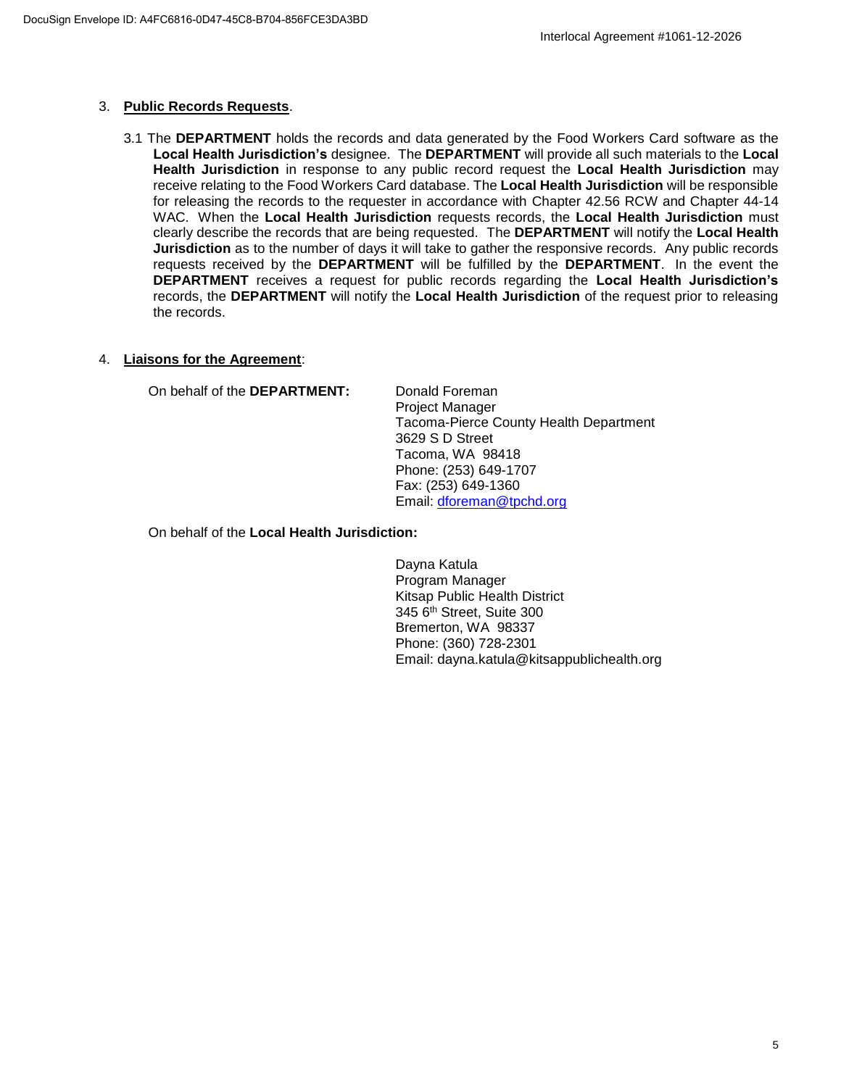### 3. **Public Records Requests**.

3.1 The **DEPARTMENT** holds the records and data generated by the Food Workers Card software as the **Local Health Jurisdiction's** designee. The **DEPARTMENT** will provide all such materials to the **Local Health Jurisdiction** in response to any public record request the **Local Health Jurisdiction** may receive relating to the Food Workers Card database. The **Local Health Jurisdiction** will be responsible for releasing the records to the requester in accordance with Chapter 42.56 RCW and Chapter 44-14 WAC. When the **Local Health Jurisdiction** requests records, the **Local Health Jurisdiction** must clearly describe the records that are being requested. The **DEPARTMENT** will notify the **Local Health Jurisdiction** as to the number of days it will take to gather the responsive records. Any public records requests received by the **DEPARTMENT** will be fulfilled by the **DEPARTMENT**. In the event the **DEPARTMENT** receives a request for public records regarding the **Local Health Jurisdiction's** records, the **DEPARTMENT** will notify the **Local Health Jurisdiction** of the request prior to releasing the records.

### 4. **Liaisons for the Agreement**:

On behalf of the **DEPARTMENT:** Donald Foreman

Project Manager Tacoma-Pierce County Health Department 3629 S D Street Tacoma, WA 98418 Phone: (253) 649-1707 Fax: (253) 649-1360 Email: dforeman@tpchd.org

On behalf of the **Local Health Jurisdiction:**

Dayna Katula Program Manager Kitsap Public Health District 345 6th Street, Suite 300 Bremerton, WA 98337 Phone: (360) 728-2301 Email: dayna.katula@kitsappublichealth.org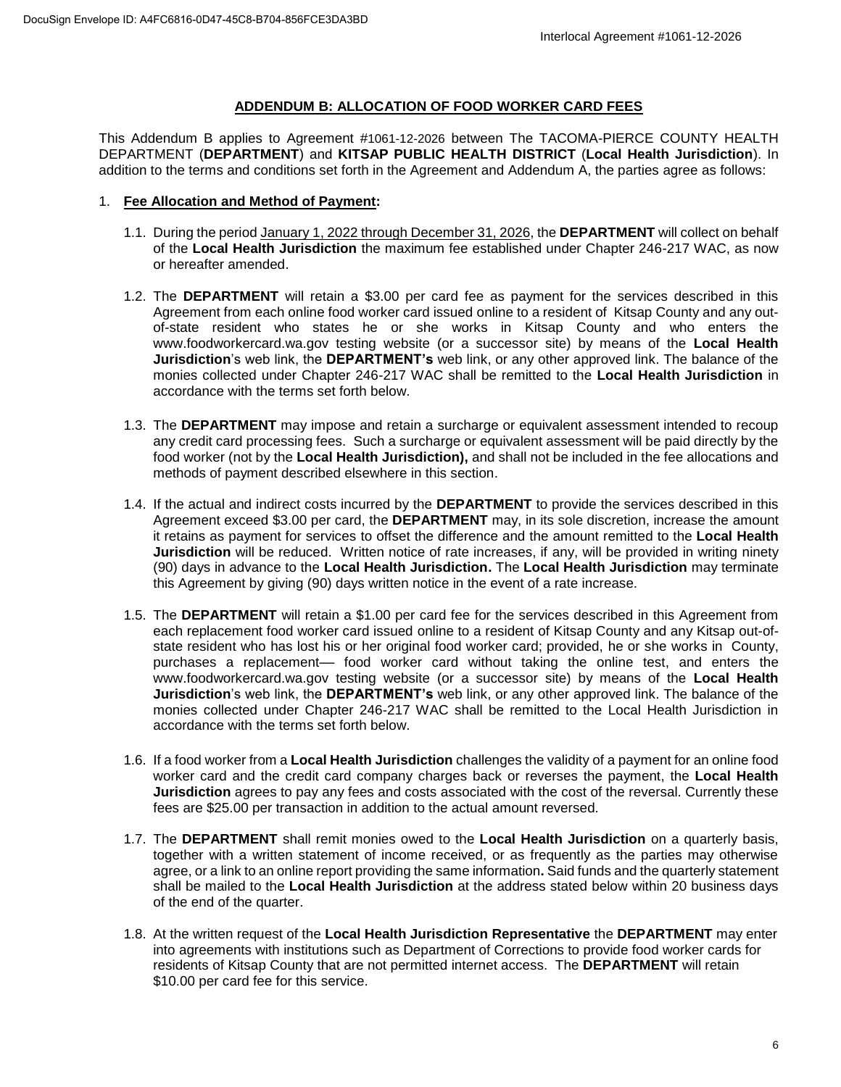# **ADDENDUM B: ALLOCATION OF FOOD WORKER CARD FEES**

This Addendum B applies to Agreement #1061-12-2026 between The TACOMA-PIERCE COUNTY HEALTH DEPARTMENT (**DEPARTMENT**) and **KITSAP PUBLIC HEALTH DISTRICT** (**Local Health Jurisdiction**). In addition to the terms and conditions set forth in the Agreement and Addendum A, the parties agree as follows:

### 1. **Fee Allocation and Method of Payment:**

- 1.1. During the period January 1, 2022 through December 31, 2026, the **DEPARTMENT** will collect on behalf of the **Local Health Jurisdiction** the maximum fee established under Chapter 246-217 WAC, as now or hereafter amended.
- 1.2. The **DEPARTMENT** will retain a \$3.00 per card fee as payment for the services described in this Agreement from each online food worker card issued online to a resident of Kitsap County and any outof-state resident who states he or she works in Kitsap County and who enters the www.foodworkercard.wa.gov testing website (or a successor site) by means of the **Local Health Jurisdiction**'s web link, the **DEPARTMENT's** web link, or any other approved link. The balance of the monies collected under Chapter 246-217 WAC shall be remitted to the **Local Health Jurisdiction** in accordance with the terms set forth below.
- 1.3. The **DEPARTMENT** may impose and retain a surcharge or equivalent assessment intended to recoup any credit card processing fees. Such a surcharge or equivalent assessment will be paid directly by the food worker (not by the **Local Health Jurisdiction),** and shall not be included in the fee allocations and methods of payment described elsewhere in this section.
- 1.4. If the actual and indirect costs incurred by the **DEPARTMENT** to provide the services described in this Agreement exceed \$3.00 per card, the **DEPARTMENT** may, in its sole discretion, increase the amount it retains as payment for services to offset the difference and the amount remitted to the **Local Health Jurisdiction** will be reduced. Written notice of rate increases, if any, will be provided in writing ninety (90) days in advance to the **Local Health Jurisdiction.** The **Local Health Jurisdiction** may terminate this Agreement by giving (90) days written notice in the event of a rate increase.
- 1.5. The **DEPARTMENT** will retain a \$1.00 per card fee for the services described in this Agreement from each replacement food worker card issued online to a resident of Kitsap County and any Kitsap out-ofstate resident who has lost his or her original food worker card; provided, he or she works in County, purchases a replacement–– food worker card without taking the online test, and enters the www.foodworkercard.wa.gov testing website (or a successor site) by means of the **Local Health Jurisdiction**'s web link, the **DEPARTMENT's** web link, or any other approved link. The balance of the monies collected under Chapter 246-217 WAC shall be remitted to the Local Health Jurisdiction in accordance with the terms set forth below.
- 1.6. If a food worker from a **Local Health Jurisdiction** challenges the validity of a payment for an online food worker card and the credit card company charges back or reverses the payment, the **Local Health Jurisdiction** agrees to pay any fees and costs associated with the cost of the reversal. Currently these fees are \$25.00 per transaction in addition to the actual amount reversed.
- 1.7. The **DEPARTMENT** shall remit monies owed to the **Local Health Jurisdiction** on a quarterly basis, together with a written statement of income received, or as frequently as the parties may otherwise agree, or a link to an online report providing the same information**.** Said funds and the quarterly statement shall be mailed to the **Local Health Jurisdiction** at the address stated below within 20 business days of the end of the quarter.
- 1.8. At the written request of the **Local Health Jurisdiction Representative** the **DEPARTMENT** may enter into agreements with institutions such as Department of Corrections to provide food worker cards for residents of Kitsap County that are not permitted internet access. The **DEPARTMENT** will retain \$10.00 per card fee for this service.